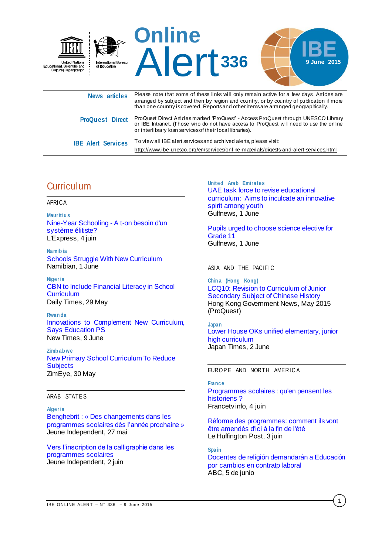

|                           | or interlibrary loan services of their local libraries).                               |
|---------------------------|----------------------------------------------------------------------------------------|
| <b>IBE Alert Services</b> | To view all IBE alert services and archived alerts, please visit:                      |
|                           | http://www.ibe.unesco.org/en/services/online-materials/digests-and-alert-services.html |

# **Curriculum**

#### AFRICA

**Maur itiu s** [Nine-Year Schooling -](http://fr.allafrica.com/stories/201506051250.html) A t-on besoin d'un [système élitiste?](http://fr.allafrica.com/stories/201506051250.html) L'Express, 4 juin

**Namib ia** [Schools Struggle With New Curriculum](http://allafrica.com/stories/201506011825.html) Namibian, 1 June

**Nigeri a** [CBN to Include Financial Literacy in School](http://dailytimes.com.ng/cbn-to-include-financial-literacy-in-school-curriculum/)  **[Curriculum](http://dailytimes.com.ng/cbn-to-include-financial-literacy-in-school-curriculum/)** Daily Times, 29 May

**Rwan da**  Innovations to [Complement New Curriculum,](http://allafrica.com/stories/201506090408.html)  [Says Education PS](http://allafrica.com/stories/201506090408.html) New Times, 9 June

**Zimb ab we** [New Primary School Curriculum To Reduce](http://www.zimeye.com/new-primary-school-curriculum-to-reduce-subjects/)  **[Subjects](http://www.zimeye.com/new-primary-school-curriculum-to-reduce-subjects/)** ZimEye, 30 May

## ARAB STATE S

#### **Algeri a**

[Benghebrit : « Des changements dans les](http://www.jeune-independant.net/Benghebrit-Des-changements-dans.html)  [programmes scolaires dès l'année prochaine »](http://www.jeune-independant.net/Benghebrit-Des-changements-dans.html) Jeune Independent, 27 mai

[Vers l'inscription de la calligraphie dans les](http://www.jeune-independant.net/Vers-l-inscription-de-la.html)  [programmes scolaires](http://www.jeune-independant.net/Vers-l-inscription-de-la.html) Jeune Independent, 2 juin

**United Arab Emirates** [UAE task force to revise educational](http://gulfnews.com/news/uae/education/uae-task-force-to-revise-educational-curriculum-1.1528183)  [curriculum: Aims to inculcate an innovative](http://gulfnews.com/news/uae/education/uae-task-force-to-revise-educational-curriculum-1.1528183)  [spirit among youth](http://gulfnews.com/news/uae/education/uae-task-force-to-revise-educational-curriculum-1.1528183) Gulfnews, 1 June

[Pupils urged to choose science elective for](http://gulfnews.com/news/uae/education/pupils-urged-to-choose-science-elective-for-grade-11-1.1528109)  [Grade 11](http://gulfnews.com/news/uae/education/pupils-urged-to-choose-science-elective-for-grade-11-1.1528109) Gulfnews, 1 June

### ASIA AND THE PACIFIC

**Chin a (Hong Kong)** LCQ10: [Revision to Curriculum of Junior](http://search.proquest.com/pqcentral/docview/1680429978/5E1496CDB4E3457CPQ/2?accountid=41859)  [Secondary Subject of Chinese History](http://search.proquest.com/pqcentral/docview/1680429978/5E1496CDB4E3457CPQ/2?accountid=41859) Hong Kong Government News, May 2015 (ProQuest)

**Japan** [Lower House OKs unified elementary, junior](http://www.japantimes.co.jp/news/2015/06/02/national/lower-house-oks-unified-elementary-junior-high-curriculum/#.VW8XYE0w-Uk)  [high curriculum](http://www.japantimes.co.jp/news/2015/06/02/national/lower-house-oks-unified-elementary-junior-high-curriculum/#.VW8XYE0w-Uk) Japan Times, 2 June

FURO PF AND NORTH AMERICA

#### **France**

[Programmes scolaires : qu'en pensent les](http://www.francetvinfo.fr/societe/education/reforme-du-college/programmes-scolaires-qu-en-pensent-les-historiens_934711.html)  [historiens ?](http://www.francetvinfo.fr/societe/education/reforme-du-college/programmes-scolaires-qu-en-pensent-les-historiens_934711.html) Francetv info, 4 juin

[Réforme des programmes: comment ils vont](http://www.huffingtonpost.fr/2015/06/03/reforme-des-programmes-comment-ils-vont-etre-amendes-avant-2016_n_7499726.html)  [être amendés d'ici à la fin de l'été](http://www.huffingtonpost.fr/2015/06/03/reforme-des-programmes-comment-ils-vont-etre-amendes-avant-2016_n_7499726.html) Le Huffington Post, 3 juin

**Spain** [Docentes de religión demandarán a Educación](http://agencias.abc.es/agencias/noticia.asp?noticia=1885705)  [por cambios en contratp laboral](http://agencias.abc.es/agencias/noticia.asp?noticia=1885705) ABC, 5 de junio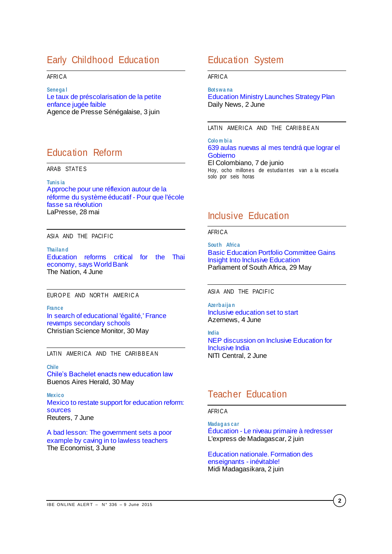# Early Childhood Education

## AFRICA

**Senega l** [Le taux de préscolarisation de la petite](http://www.aps.sn/articles.php?id_article=142918)  [enfance jugée faible](http://www.aps.sn/articles.php?id_article=142918) Agence de Presse Sénégalaise, 3 juin

## Education Reform

ARAB STATE S

**Tunis ia**

[Approche pour une réflexion autour de la](http://fr.allafrica.com/stories/201505280742.html)  [réforme du système éducatif -](http://fr.allafrica.com/stories/201505280742.html) Pour que l'école [fasse sa révolution](http://fr.allafrica.com/stories/201505280742.html) LaPresse, 28 mai

## ASIA AND THE PACIFIC

**Thailan d**

[Education reforms critical for the Thai](http://www.nationmultimedia.com/business/Education-reforms-critical-for-the-Thai-economy-sa-30261548.html)  [economy, says World Bank](http://www.nationmultimedia.com/business/Education-reforms-critical-for-the-Thai-economy-sa-30261548.html) The Nation, 4 June

## EUROPE AND NORTH AMERICA

**France** [In search of educational 'égalité,' France](http://www.csmonitor.com/World/Europe/2015/0530/In-search-of-educational-egalite-France-revamps-secondary-schools)  [revamps secondary schools](http://www.csmonitor.com/World/Europe/2015/0530/In-search-of-educational-egalite-France-revamps-secondary-schools) Christian Science Monitor, 30 May

LATIN AMERICA AND THE CARIBBEAN

#### **Chile**

[Chile's Bachelet enacts new education law](http://buenosairesherald.com/article/190406/chiles-bachelet-enacts-new-education-law) Buenos Aires Herald, 30 May

#### **Mexico**

[Mexico to restate support for education reform:](http://www.reuters.com/article/2015/06/08/us-mexico-election-education-idUSKBN0OO06P20150608)  [sources](http://www.reuters.com/article/2015/06/08/us-mexico-election-education-idUSKBN0OO06P20150608) Reuters, 7 June

[A bad lesson: The government sets a poor](http://www.economist.com/news/americas/21653580-government-sets-poor-example-caving-lawless-teachers-bad-lesson)  [example by caving in to lawless teachers](http://www.economist.com/news/americas/21653580-government-sets-poor-example-caving-lawless-teachers-bad-lesson) The Economist, 3 June

## Education System

AFRICA

#### **Botswa na**

[Education Ministry Launches Strategy Plan](http://allafrica.com/stories/201506030441.html) Daily News, 2 June

## LATIN AMERICA AND THE CARIBBEAN

**Colo m bi a** [639 aulas nuevas al mes tendrá que lograr el](http://www.elcolombiano.com/reto-de-639-aulas-nuevas-al-mes-se-traza-el-gobierno-XI2093404)  [Gobierno](http://www.elcolombiano.com/reto-de-639-aulas-nuevas-al-mes-se-traza-el-gobierno-XI2093404) El Colombiano, 7 de junio

Hoy, ocho millones de estudiantes van a la escuela solo por seis horas

# Inclusive Education

## AFRICA

**South Africa** [Basic Education Portfolio Committee Gains](http://allafrica.com/stories/201505291686.html)  [Insight Into Inclusive Education](http://allafrica.com/stories/201505291686.html) Parliament of South Africa, 29 May

#### ASIA AND THE PACIFIC

**Azerb aija n** [Inclusive education set to start](http://www.azernews.az/azerbaijan/83111.html) Azernews, 4 June

**India** [NEP discussion on Inclusive Education for](http://www.niticentral.com/2015/06/02/nep-discussion-on-inclusive-education-for-inclusive-india-316163.html)  [Inclusive India](http://www.niticentral.com/2015/06/02/nep-discussion-on-inclusive-education-for-inclusive-india-316163.html) NITI Central, 2 June

## Teacher Education

### AFRICA

**Madag as car** Éducation - [Le niveau primaire à redresser](http://fr.allafrica.com/stories/201506021280.html) L'express de Madagascar, 2 juin

[Education nationale. Formation des](http://fr.allafrica.com/stories/201506021063.html)  [enseignants -](http://fr.allafrica.com/stories/201506021063.html) inévitable! Midi Madagasikara, 2 juin

**2**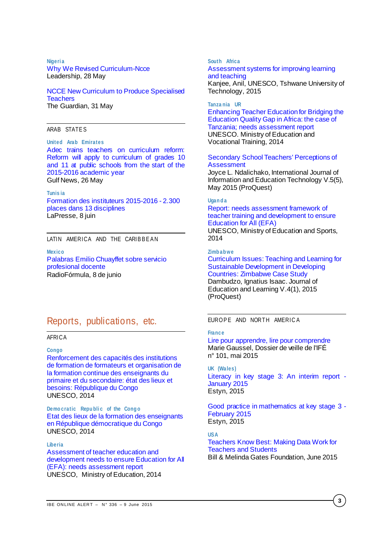#### **Nigeri a**

[Why We Revised Curriculum-Ncce](http://allafrica.com/stories/201505290064.html) Leadership, 28 May

[NCCE New Curriculum to Produce Specialised](http://allafrica.com/stories/201506020305.html)  **[Teachers](http://allafrica.com/stories/201506020305.html)** The Guardian, 31 May

### ARAB STATE S

**United Arab Emirates** [Adec trains teachers on curriculum reform:](http://gulfnews.com/news/uae/education/adec-trains-teachers-on-curriculum-reform-1.1522217)  [Reform will apply to curriculum of grades 10](http://gulfnews.com/news/uae/education/adec-trains-teachers-on-curriculum-reform-1.1522217)  [and 11 at public schools from the start of the](http://gulfnews.com/news/uae/education/adec-trains-teachers-on-curriculum-reform-1.1522217)  [2015-2016 academic year](http://gulfnews.com/news/uae/education/adec-trains-teachers-on-curriculum-reform-1.1522217) Gulf News, 26 May

#### **Tunis ia**

[Formation des instituteurs 2015-2016 -](http://fr.allafrica.com/stories/201506081841.html) 2.300 [places dans 13 disciplines](http://fr.allafrica.com/stories/201506081841.html) LaPresse, 8 juin

## LATIN AMERICA AND THE CARIBBEAN

**Mexico** [Palabras Emilio Chuayffet sobre servicio](http://www.radioformula.com.mx/notas.asp?Idn=508561&idFC=2015)  [profesional docente](http://www.radioformula.com.mx/notas.asp?Idn=508561&idFC=2015) RadioFórmula, 8 de junio

## Reports, publications, etc.

## AFRICA

**Congo**

[Renforcement des capacités des institutions](http://unesdoc.unesco.org/images/0023/002330/233070f.pdf)  [de formation de formateurs et organisation de](http://unesdoc.unesco.org/images/0023/002330/233070f.pdf)  [la formation continue des enseignants du](http://unesdoc.unesco.org/images/0023/002330/233070f.pdf)  [primaire et du secondaire: état des lieux et](http://unesdoc.unesco.org/images/0023/002330/233070f.pdf)  [besoins: République du Congo](http://unesdoc.unesco.org/images/0023/002330/233070f.pdf) UNESCO, 2014

**Demo cratic Republic of the Congo** [Etat des lieux de la formation des enseignants](http://unesdoc.unesco.org/images/0023/002330/233073f.pdf)  [en République démocratique du Congo](http://unesdoc.unesco.org/images/0023/002330/233073f.pdf) UNESCO, 2014

#### **Liberia**

[Assessment of teacher education and](http://unesdoc.unesco.org/images/0023/002330/233080e.pdf)  [development needs to ensure Education for All](http://unesdoc.unesco.org/images/0023/002330/233080e.pdf)  [\(EFA\): needs assessment report](http://unesdoc.unesco.org/images/0023/002330/233080e.pdf) UNESCO, Ministry of Education, 2014

#### **South Africa**

## [Assessment systems for improving learning](http://unesdoc.unesco.org/images/0023/002332/233234e.pdf)  [and teaching](http://unesdoc.unesco.org/images/0023/002332/233234e.pdf)

Kanjee, Anil, UNESCO, Tshwane University of Technology, 2015

#### **Tanza nia UR**

[Enhancing Teacher Education for Bridging the](http://unesdoc.unesco.org/images/0023/002330/233079e.pdf)  [Education Quality Gap in Africa: the case of](http://unesdoc.unesco.org/images/0023/002330/233079e.pdf)  Tanzania; [needs assessment report](http://unesdoc.unesco.org/images/0023/002330/233079e.pdf) UNESCO. Ministry of Education and Vocational Training, 2014

## [Secondary School Teachers' Perceptions of](http://search.proquest.com/pqcentral/docview/1538895086/5E1496CDB4E3457CPQ/8?accountid=41859)  **[Assessment](http://search.proquest.com/pqcentral/docview/1538895086/5E1496CDB4E3457CPQ/8?accountid=41859)**

Joyce L. Ndalichako, International Journal of Information and Education Technology V.5(5), May 2015 (ProQuest)

#### **Ugan d a**

## [Report: needs assessment framework of](http://unesdoc.unesco.org/images/0023/002330/233078e.pdf)  [teacher training and development to ensure](http://unesdoc.unesco.org/images/0023/002330/233078e.pdf)  [Education for All \(EFA\)](http://unesdoc.unesco.org/images/0023/002330/233078e.pdf)

UNESCO, Ministry of Education and Sports, 2014

## **Zimb ab we**

[Curriculum Issues: Teaching and Learning for](http://search.proquest.com/pqcentral/docview/1665183794/7F388B315A924B3FPQ/14?accountid=41859)  [Sustainable Development in Developing](http://search.proquest.com/pqcentral/docview/1665183794/7F388B315A924B3FPQ/14?accountid=41859)  [Countries: Zimbabwe Case Study](http://search.proquest.com/pqcentral/docview/1665183794/7F388B315A924B3FPQ/14?accountid=41859) Dambudzo, Ignatius Isaac. Journal of Education and Learning V.4(1), 2015 (ProQuest)

EUROPE AND NORTH AMERICA

## **France**

[Lire pour apprendre, lire pour comprendre](http://ife.ens-lyon.fr/vst/DA-Veille/101-mai-2015.pdf) Marie Gaussel, Dossier de veille de l'IFÉ n° 101, mai 2015

**UK (Wales)** [Literacy in key stage 3: An interim report -](http://www.estyn.gov.uk/english/docViewer/343434/Literacy%20in%20key%20stage%203:%20An%20interim%20report%20-%20January%202015/?navmap=30,163,) [January 2015](http://www.estyn.gov.uk/english/docViewer/343434/Literacy%20in%20key%20stage%203:%20An%20interim%20report%20-%20January%202015/?navmap=30,163,) Estyn, 2015

[Good practice in mathematics at key stage 3 -](http://www.estyn.gov.uk/english/docViewer/348457.2/Good%20practice%20in%20mathematics%20at%20key%20stage%203%20-%20February%202015/?navmap=30,163,) [February 2015](http://www.estyn.gov.uk/english/docViewer/348457.2/Good%20practice%20in%20mathematics%20at%20key%20stage%203%20-%20February%202015/?navmap=30,163,) Estyn, 2015

**USA** [Teachers Know Best: Making Data Work for](https://s3.amazonaws.com/edtech-production/reports/Gates-TeachersKnowBest-MakingDataWork.pdf)  [Teachers and Students](https://s3.amazonaws.com/edtech-production/reports/Gates-TeachersKnowBest-MakingDataWork.pdf) Bill & Melinda Gates Foundation, June 2015